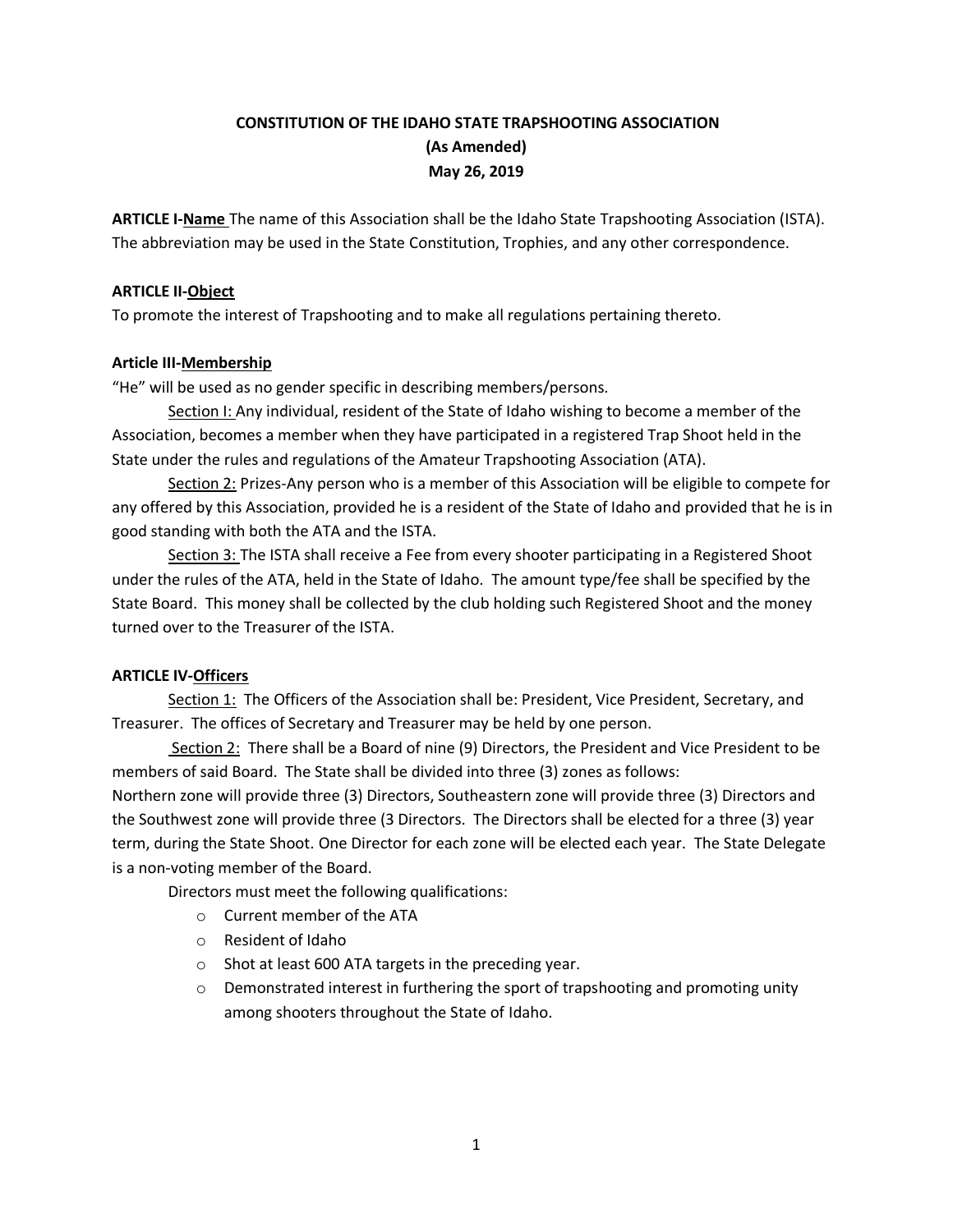# **CONSTITUTION OF THE IDAHO STATE TRAPSHOOTING ASSOCIATION (As Amended) May 26, 2019**

**ARTICLE I-Name** The name of this Association shall be the Idaho State Trapshooting Association (ISTA). The abbreviation may be used in the State Constitution, Trophies, and any other correspondence.

### **ARTICLE II-Object**

To promote the interest of Trapshooting and to make all regulations pertaining thereto.

### **Article III-Membership**

"He" will be used as no gender specific in describing members/persons.

Section I: Any individual, resident of the State of Idaho wishing to become a member of the Association, becomes a member when they have participated in a registered Trap Shoot held in the State under the rules and regulations of the Amateur Trapshooting Association (ATA).

Section 2: Prizes-Any person who is a member of this Association will be eligible to compete for any offered by this Association, provided he is a resident of the State of Idaho and provided that he is in good standing with both the ATA and the ISTA.

Section 3: The ISTA shall receive a Fee from every shooter participating in a Registered Shoot under the rules of the ATA, held in the State of Idaho. The amount type/fee shall be specified by the State Board. This money shall be collected by the club holding such Registered Shoot and the money turned over to the Treasurer of the ISTA.

# **ARTICLE IV-Officers**

Section 1: The Officers of the Association shall be: President, Vice President, Secretary, and Treasurer. The offices of Secretary and Treasurer may be held by one person.

Section 2: There shall be a Board of nine (9) Directors, the President and Vice President to be members of said Board. The State shall be divided into three (3) zones as follows: Northern zone will provide three (3) Directors, Southeastern zone will provide three (3) Directors and the Southwest zone will provide three (3 Directors. The Directors shall be elected for a three (3) year term, during the State Shoot. One Director for each zone will be elected each year. The State Delegate is a non-voting member of the Board.

Directors must meet the following qualifications:

- o Current member of the ATA
- o Resident of Idaho
- o Shot at least 600 ATA targets in the preceding year.
- $\circ$  Demonstrated interest in furthering the sport of trapshooting and promoting unity among shooters throughout the State of Idaho.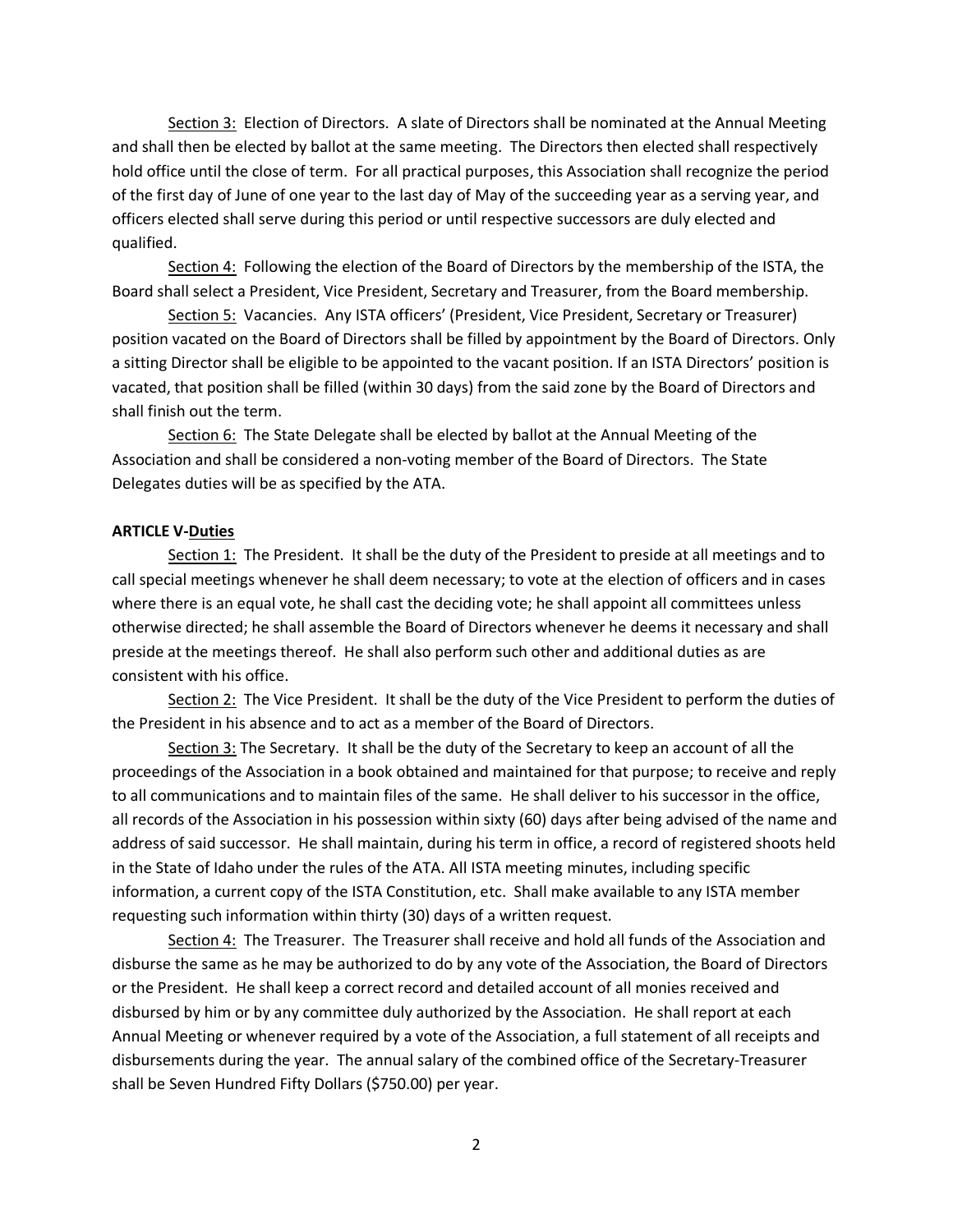Section 3: Election of Directors. A slate of Directors shall be nominated at the Annual Meeting and shall then be elected by ballot at the same meeting. The Directors then elected shall respectively hold office until the close of term. For all practical purposes, this Association shall recognize the period of the first day of June of one year to the last day of May of the succeeding year as a serving year, and officers elected shall serve during this period or until respective successors are duly elected and qualified.

Section 4: Following the election of the Board of Directors by the membership of the ISTA, the Board shall select a President, Vice President, Secretary and Treasurer, from the Board membership.

Section 5: Vacancies. Any ISTA officers' (President, Vice President, Secretary or Treasurer) position vacated on the Board of Directors shall be filled by appointment by the Board of Directors. Only a sitting Director shall be eligible to be appointed to the vacant position. If an ISTA Directors' position is vacated, that position shall be filled (within 30 days) from the said zone by the Board of Directors and shall finish out the term.

Section 6: The State Delegate shall be elected by ballot at the Annual Meeting of the Association and shall be considered a non-voting member of the Board of Directors. The State Delegates duties will be as specified by the ATA.

#### **ARTICLE V-Duties**

Section 1: The President. It shall be the duty of the President to preside at all meetings and to call special meetings whenever he shall deem necessary; to vote at the election of officers and in cases where there is an equal vote, he shall cast the deciding vote; he shall appoint all committees unless otherwise directed; he shall assemble the Board of Directors whenever he deems it necessary and shall preside at the meetings thereof. He shall also perform such other and additional duties as are consistent with his office.

Section 2: The Vice President. It shall be the duty of the Vice President to perform the duties of the President in his absence and to act as a member of the Board of Directors.

Section 3: The Secretary. It shall be the duty of the Secretary to keep an account of all the proceedings of the Association in a book obtained and maintained for that purpose; to receive and reply to all communications and to maintain files of the same. He shall deliver to his successor in the office, all records of the Association in his possession within sixty (60) days after being advised of the name and address of said successor. He shall maintain, during his term in office, a record of registered shoots held in the State of Idaho under the rules of the ATA. All ISTA meeting minutes, including specific information, a current copy of the ISTA Constitution, etc. Shall make available to any ISTA member requesting such information within thirty (30) days of a written request.

Section 4: The Treasurer. The Treasurer shall receive and hold all funds of the Association and disburse the same as he may be authorized to do by any vote of the Association, the Board of Directors or the President. He shall keep a correct record and detailed account of all monies received and disbursed by him or by any committee duly authorized by the Association. He shall report at each Annual Meeting or whenever required by a vote of the Association, a full statement of all receipts and disbursements during the year. The annual salary of the combined office of the Secretary-Treasurer shall be Seven Hundred Fifty Dollars (\$750.00) per year.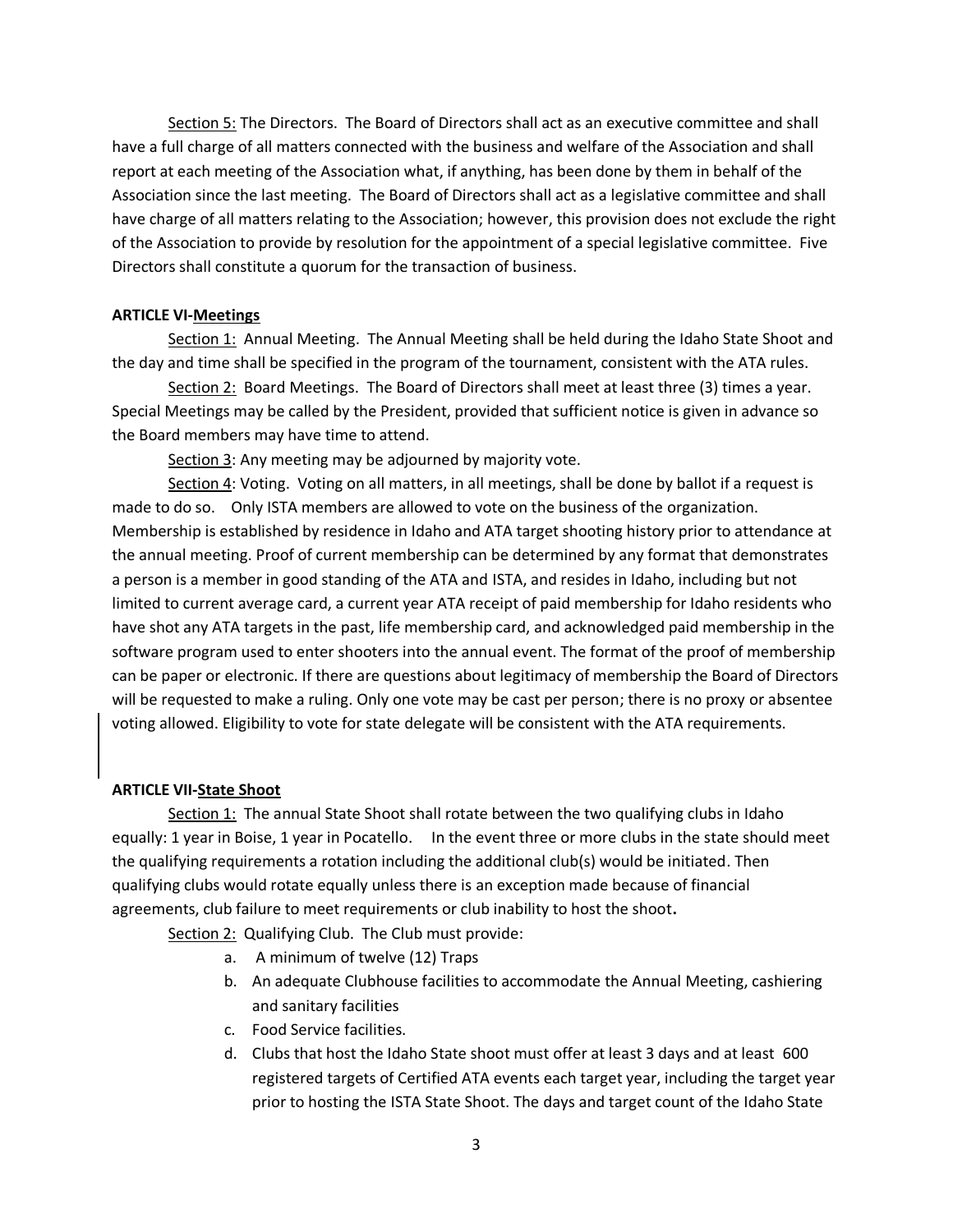Section 5: The Directors. The Board of Directors shall act as an executive committee and shall have a full charge of all matters connected with the business and welfare of the Association and shall report at each meeting of the Association what, if anything, has been done by them in behalf of the Association since the last meeting. The Board of Directors shall act as a legislative committee and shall have charge of all matters relating to the Association; however, this provision does not exclude the right of the Association to provide by resolution for the appointment of a special legislative committee. Five Directors shall constitute a quorum for the transaction of business.

#### **ARTICLE VI-Meetings**

Section 1: Annual Meeting. The Annual Meeting shall be held during the Idaho State Shoot and the day and time shall be specified in the program of the tournament, consistent with the ATA rules.

Section 2: Board Meetings. The Board of Directors shall meet at least three (3) times a year. Special Meetings may be called by the President, provided that sufficient notice is given in advance so the Board members may have time to attend.

Section 3: Any meeting may be adjourned by majority vote.

Section 4: Voting. Voting on all matters, in all meetings, shall be done by ballot if a request is made to do so. Only ISTA members are allowed to vote on the business of the organization. Membership is established by residence in Idaho and ATA target shooting history prior to attendance at the annual meeting. Proof of current membership can be determined by any format that demonstrates a person is a member in good standing of the ATA and ISTA, and resides in Idaho, including but not limited to current average card, a current year ATA receipt of paid membership for Idaho residents who have shot any ATA targets in the past, life membership card, and acknowledged paid membership in the software program used to enter shooters into the annual event. The format of the proof of membership can be paper or electronic. If there are questions about legitimacy of membership the Board of Directors will be requested to make a ruling. Only one vote may be cast per person; there is no proxy or absentee voting allowed. Eligibility to vote for state delegate will be consistent with the ATA requirements.

#### **ARTICLE VII-State Shoot**

Section 1: The annual State Shoot shall rotate between the two qualifying clubs in Idaho equally: 1 year in Boise, 1 year in Pocatello. In the event three or more clubs in the state should meet the qualifying requirements a rotation including the additional club(s) would be initiated. Then qualifying clubs would rotate equally unless there is an exception made because of financial agreements, club failure to meet requirements or club inability to host the shoot**.** 

Section 2: Qualifying Club. The Club must provide:

- a. A minimum of twelve (12) Traps
- b. An adequate Clubhouse facilities to accommodate the Annual Meeting, cashiering and sanitary facilities
- c. Food Service facilities.
- d. Clubs that host the Idaho State shoot must offer at least 3 days and at least 600 registered targets of Certified ATA events each target year, including the target year prior to hosting the ISTA State Shoot. The days and target count of the Idaho State